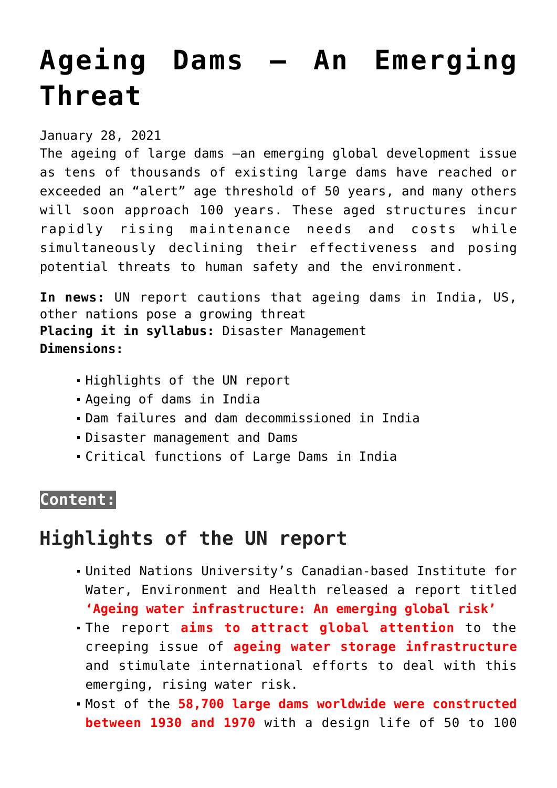# **[Ageing Dams – An Emerging](https://journalsofindia.com/ageing-dams-an-emerging-threat/) [Threat](https://journalsofindia.com/ageing-dams-an-emerging-threat/)**

January 28, 2021

The ageing of large dams –an emerging global development issue as tens of thousands of existing large dams have reached or exceeded an "alert" age threshold of 50 years, and many others will soon approach 100 years. These aged structures incur rapidly rising maintenance needs and costs while simultaneously declining their effectiveness and posing potential threats to human safety and the environment.

**In news:** UN report cautions that ageing dams in India, US, other nations pose a growing threat **Placing it in syllabus:** Disaster Management **Dimensions:**

- Highlights of the UN report
- Ageing of dams in India
- Dam failures and dam decommissioned in India
- Disaster management and Dams
- Critical functions of Large Dams in India

# **Content:**

# **Highlights of the UN report**

- United Nations University's Canadian-based Institute for Water, Environment and Health released a report titled **'Ageing water infrastructure: An emerging global risk'**
- The report **aims to attract global attention** to the creeping issue of **ageing water storage infrastructure** and stimulate international efforts to deal with this emerging, rising water risk.
- Most of the **58,700 large dams worldwide were constructed between 1930 and 1970** with a design life of 50 to 100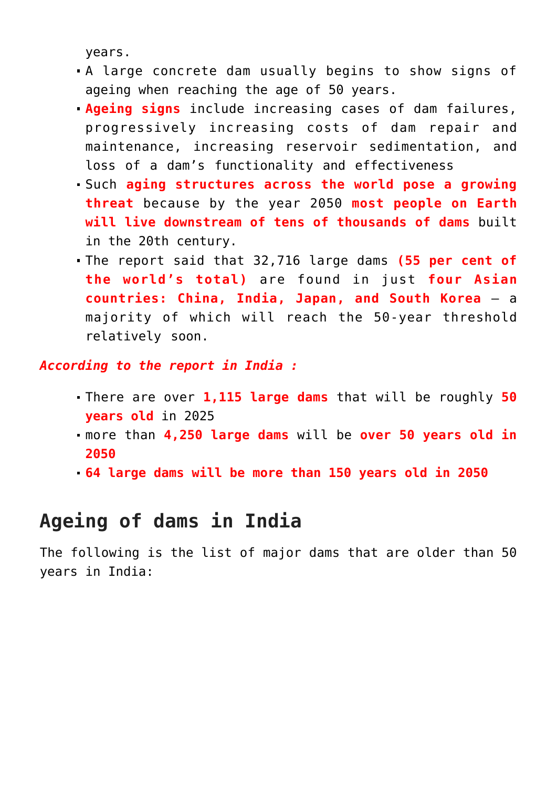years.

- A large concrete dam usually begins to show signs of ageing when reaching the age of 50 years.
- **Ageing signs** include increasing cases of dam failures, progressively increasing costs of dam repair and maintenance, increasing reservoir sedimentation, and loss of a dam's functionality and effectiveness
- Such **aging structures across the world pose a growing threat** because by the year 2050 **most people on Earth will live downstream of tens of thousands of dams** built in the 20th century.
- The report said that 32,716 large dams **(55 per cent of the world's total)** are found in just **four Asian countries: China, India, Japan, and South Korea** – a majority of which will reach the 50-year threshold relatively soon.

*According to the report in India :*

- There are over **1,115 large dams** that will be roughly **50 years old** in 2025
- more than **4,250 large dams** will be **over 50 years old in 2050**
- **64 large dams will be more than 150 years old in 2050**

# **Ageing of dams in India**

The following is the list of major dams that are older than 50 years in India: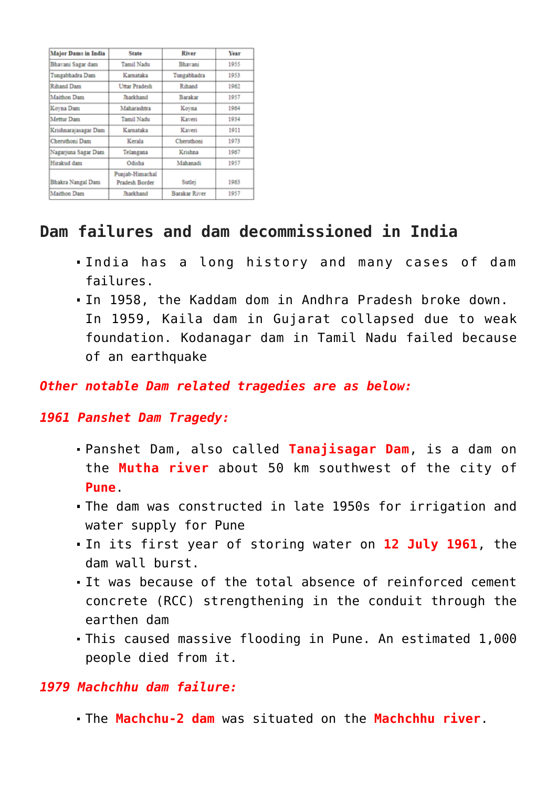| <b>Major Dams in India</b> | <b>State</b>                      | River                | Year |
|----------------------------|-----------------------------------|----------------------|------|
| Bhavani Sagar dam          | Tamil Nadu                        | Bhavani              | 1955 |
| Tungabhadra Dam            | Karnataka                         | Tungabhadra          | 1953 |
| Rihand Dam                 | Uttar Pradesh                     | Rihand               | 1962 |
| <b>Maithon Dam</b>         | Tharkhand                         | Barakar              | 1957 |
| Koyna Dam                  | Maharashtra                       | Koyna                | 1964 |
| Mettur Dam                 | Tamil Nadu                        | Kaveri               | 1934 |
| Krishnarajasagar Dam       | Karnataka                         | Kaveri               | 1911 |
| Cheruthoni Dam             | Kerala                            | Cheruthoni           | 1973 |
| Nagarjuna Sagar Dam        | Telangana                         | Krishna              | 1967 |
| Hirakud dam                | Odisha                            | Mahanadi             | 1957 |
| Bhakra Nangal Dam          | Punjab-Himachal<br>Pradesh Border | Sutlei               | 1963 |
| Maithon Dam                | <b>Jharkhand</b>                  | <b>Barakar River</b> | 1957 |

## **Dam failures and dam decommissioned in India**

- India has a long history and many cases of dam failures.
- In 1958, the Kaddam dom in Andhra Pradesh broke down. In 1959, Kaila dam in Gujarat collapsed due to weak foundation. Kodanagar dam in Tamil Nadu failed because of an earthquake

#### *Other notable Dam related tragedies are as below:*

#### *1961 Panshet Dam Tragedy:*

- Panshet Dam, also called **Tanajisagar Dam**, is a dam on the **Mutha river** about 50 km southwest of the city of **Pune**.
- The dam was constructed in late 1950s for irrigation and water supply for Pune
- In its first year of storing water on **12 July 1961**, the dam wall burst.
- It was because of the total absence of reinforced cement concrete (RCC) strengthening in the conduit through the earthen dam
- This caused massive flooding in Pune. An estimated 1,000 people died from it.

#### *1979 Machchhu dam failure:*

The **Machchu-2 dam** was situated on the **Machchhu river**.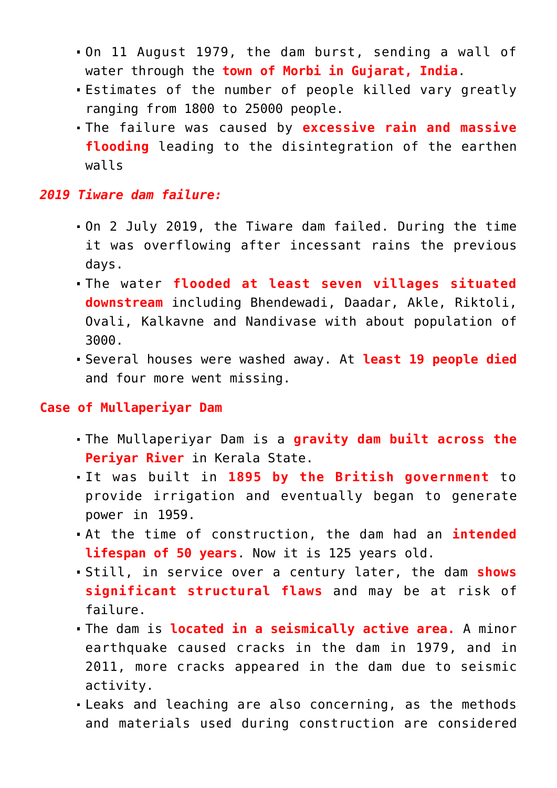- On 11 August 1979, the dam burst, sending a wall of water through the **town of Morbi in Gujarat, India**.
- Estimates of the number of people killed vary greatly ranging from 1800 to 25000 people.
- The failure was caused by **excessive rain and massive flooding** leading to the disintegration of the earthen walls

#### *2019 Tiware dam failure:*

- On 2 July 2019, the Tiware dam failed. During the time it was overflowing after incessant rains the previous days.
- The water **flooded at least seven villages situated downstream** including Bhendewadi, Daadar, Akle, Riktoli, Ovali, Kalkavne and Nandivase with about population of 3000.
- Several houses were washed away. At **least 19 people died** and four more went missing.

#### **Case of Mullaperiyar Dam**

- The Mullaperiyar Dam is a **gravity dam built across the Periyar River** in Kerala State.
- It was built in **1895 by the British government** to provide irrigation and eventually began to generate power in 1959.
- At the time of construction, the dam had an **intended lifespan of 50 years**. Now it is 125 years old.
- Still, in service over a century later, the dam **shows significant structural flaws** and may be at risk of failure.
- The dam is **located in a seismically active area.** A minor earthquake caused cracks in the dam in 1979, and in 2011, more cracks appeared in the dam due to seismic activity.
- Leaks and leaching are also concerning, as the methods and materials used during construction are considered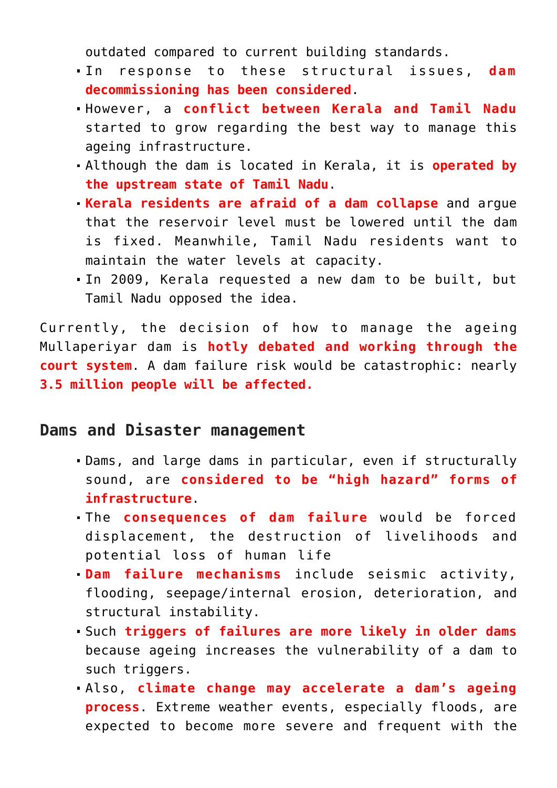outdated compared to current building standards.

- In response to these structural issues, **dam decommissioning has been considered**.
- However, a **conflict between Kerala and Tamil Nadu** started to grow regarding the best way to manage this ageing infrastructure.
- Although the dam is located in Kerala, it is **operated by the upstream state of Tamil Nadu**.
- **Kerala residents are afraid of a dam collapse** and argue that the reservoir level must be lowered until the dam is fixed. Meanwhile, Tamil Nadu residents want to maintain the water levels at capacity.
- In 2009, Kerala requested a new dam to be built, but Tamil Nadu opposed the idea.

Currently, the decision of how to manage the ageing Mullaperiyar dam is **hotly debated and working through the court system**. A dam failure risk would be catastrophic: nearly **3.5 million people will be affected.**

### **Dams and Disaster management**

- Dams, and large dams in particular, even if structurally sound, are **considered to be "high hazard" forms of infrastructure**.
- The **consequences of dam failure** would be forced displacement, the destruction of livelihoods and potential loss of human life
- **Dam failure mechanisms** include seismic activity, flooding, seepage/internal erosion, deterioration, and structural instability.
- Such **triggers of failures are more likely in older dams** because ageing increases the vulnerability of a dam to such triggers.
- Also, **climate change may accelerate a dam's ageing process**. Extreme weather events, especially floods, are expected to become more severe and frequent with the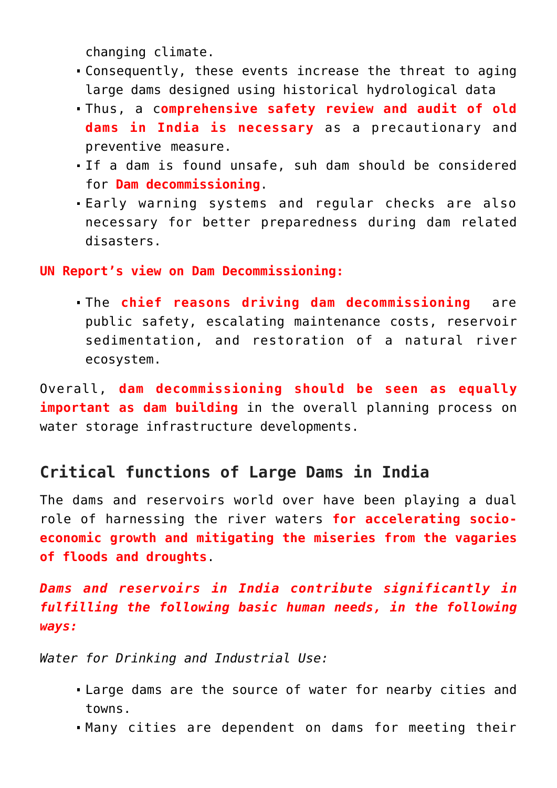changing climate.

- Consequently, these events increase the threat to aging large dams designed using historical hydrological data
- Thus, a c**omprehensive safety review and audit of old dams in India is necessary** as a precautionary and preventive measure.
- If a dam is found unsafe, suh dam should be considered for **Dam decommissioning**.
- Early warning systems and regular checks are also necessary for better preparedness during dam related disasters.

#### **UN Report's view on Dam Decommissioning:**

The **chief reasons driving dam decommissioning** are public safety, escalating maintenance costs, reservoir sedimentation, and restoration of a natural river ecosystem.

Overall, **dam decommissioning should be seen as equally important as dam building** in the overall planning process on water storage infrastructure developments.

## **Critical functions of Large Dams in India**

The dams and reservoirs world over have been playing a dual role of harnessing the river waters **for accelerating socioeconomic growth and mitigating the miseries from the vagaries of floods and droughts**.

*Dams and reservoirs in India contribute significantly in fulfilling the following basic human needs, in the following ways:*

*Water for Drinking and Industrial Use:* 

- Large dams are the source of water for nearby cities and towns.
- Many cities are dependent on dams for meeting their